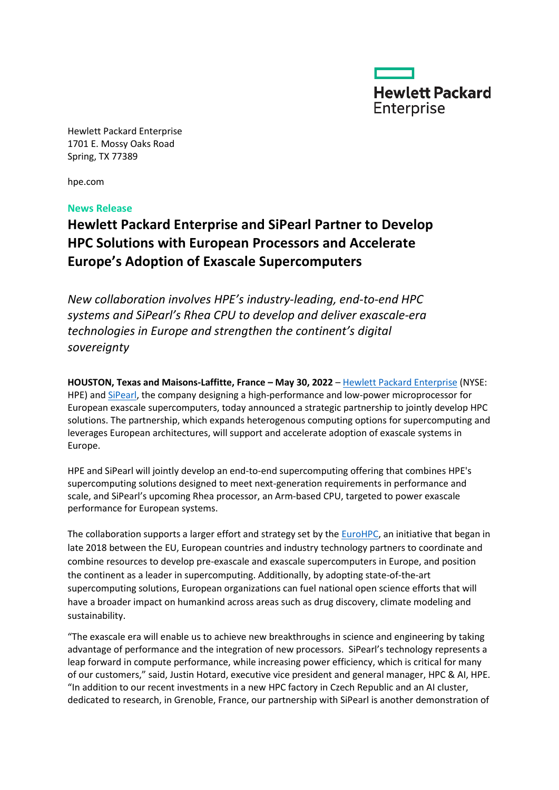

Hewlett Packard Enterprise 1701 E. Mossy Oaks Road Spring, TX 77389

hpe.com

# **News Release**

# **Hewlett Packard Enterprise and SiPearl Partner to Develop HPC Solutions with European Processors and Accelerate Europe's Adoption of Exascale Supercomputers**

*New collaboration involves HPE's industry-leading, end-to-end HPC systems and SiPearl's Rhea CPU to develop and deliver exascale-era technologies in Europe and strengthen the continent's digital sovereignty*

**HOUSTON, Texas and Maisons-Laffitte, France – May 30, 2022** – [Hewlett Packard Enterprise](http://www.hpe.com/) (NYSE: HPE) and [SiPearl,](https://sipearl.com/en) the company designing a high-performance and low-power microprocessor for European exascale supercomputers, today announced a strategic partnership to jointly develop HPC solutions. The partnership, which expands heterogenous computing options for supercomputing and leverages European architectures, will support and accelerate adoption of exascale systems in Europe.

HPE and SiPearl will jointly develop an end-to-end supercomputing offering that combines HPE's supercomputing solutions designed to meet next-generation requirements in performance and scale, and SiPearl's upcoming Rhea processor, an Arm-based CPU, targeted to power exascale performance for European systems.

The collaboration supports a larger effort and strategy set by the [EuroHPC,](https://eurohpc-ju.europa.eu/index_en) an initiative that began in late 2018 between the EU, European countries and industry technology partners to coordinate and combine resources to develop pre-exascale and exascale supercomputers in Europe, and position the continent as a leader in supercomputing. Additionally, by adopting state-of-the-art supercomputing solutions, European organizations can fuel national open science efforts that will have a broader impact on humankind across areas such as drug discovery, climate modeling and sustainability.

"The exascale era will enable us to achieve new breakthroughs in science and engineering by taking advantage of performance and the integration of new processors. SiPearl's technology represents a leap forward in compute performance, while increasing power efficiency, which is critical for many of our customers," said, Justin Hotard, executive vice president and general manager, HPC & AI, HPE. "In addition to our recent investments in a new HPC factory in Czech Republic and an AI cluster, dedicated to research, in Grenoble, France, our partnership with SiPearl is another demonstration of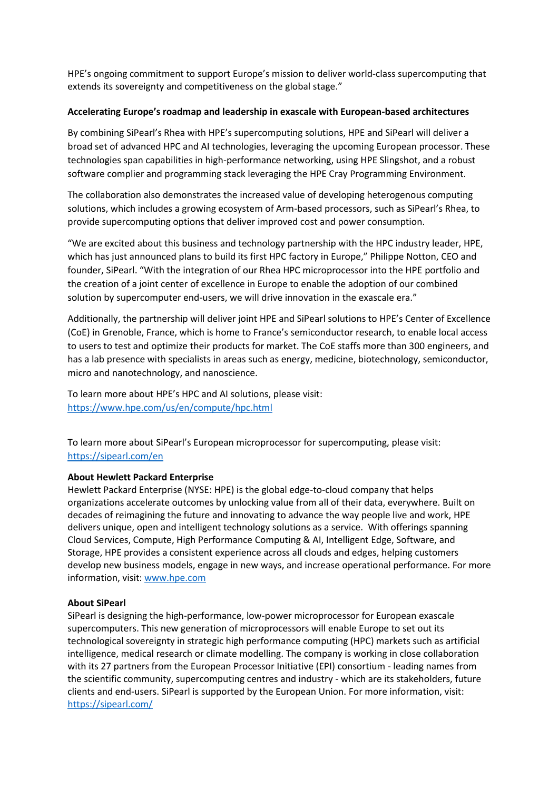HPE's ongoing commitment to support Europe's mission to deliver world-class supercomputing that extends its sovereignty and competitiveness on the global stage."

# **Accelerating Europe's roadmap and leadership in exascale with European-based architectures**

By combining SiPearl's Rhea with HPE's supercomputing solutions, HPE and SiPearl will deliver a broad set of advanced HPC and AI technologies, leveraging the upcoming European processor. These technologies span capabilities in high-performance networking, using HPE Slingshot, and a robust software complier and programming stack leveraging the HPE Cray Programming Environment.

The collaboration also demonstrates the increased value of developing heterogenous computing solutions, which includes a growing ecosystem of Arm-based processors, such as SiPearl's Rhea, to provide supercomputing options that deliver improved cost and power consumption.

"We are excited about this business and technology partnership with the HPC industry leader, HPE, which has just announced plans to build its first HPC factory in Europe," Philippe Notton, CEO and founder, SiPearl. "With the integration of our Rhea HPC microprocessor into the HPE portfolio and the creation of a joint center of excellence in Europe to enable the adoption of our combined solution by supercomputer end-users, we will drive innovation in the exascale era."

Additionally, the partnership will deliver joint HPE and SiPearl solutions to HPE's Center of Excellence (CoE) in Grenoble, France, which is home to France's semiconductor research, to enable local access to users to test and optimize their products for market. The CoE staffs more than 300 engineers, and has a lab presence with specialists in areas such as energy, medicine, biotechnology, semiconductor, micro and nanotechnology, and nanoscience.

To learn more about HPE's HPC and AI solutions, please visit: <https://www.hpe.com/us/en/compute/hpc.html>

To learn more about SiPearl's European microprocessor for supercomputing, please visit: <https://sipearl.com/en>

# **About Hewlett Packard Enterprise**

Hewlett Packard Enterprise (NYSE: HPE) is the global edge-to-cloud company that helps organizations accelerate outcomes by unlocking value from all of their data, everywhere. Built on decades of reimagining the future and innovating to advance the way people live and work, HPE delivers unique, open and intelligent technology solutions as a service. With offerings spanning Cloud Services, Compute, High Performance Computing & AI, Intelligent Edge, Software, and Storage, HPE provides a consistent experience across all clouds and edges, helping customers develop new business models, engage in new ways, and increase operational performance. For more information, visit: [www.hpe.com](http://www.hpe.com/)

# **About SiPearl**

SiPearl is designing the high-performance, low-power microprocessor for European exascale supercomputers. This new generation of microprocessors will enable Europe to set out its technological sovereignty in strategic high performance computing (HPC) markets such as artificial intelligence, medical research or climate modelling. The company is working in close collaboration with its 27 partners from the European Processor Initiative (EPI) consortium - leading names from the scientific community, supercomputing centres and industry - which are its stakeholders, future clients and end-users. SiPearl is supported by the European Union. For more information, visit: <https://sipearl.com/>